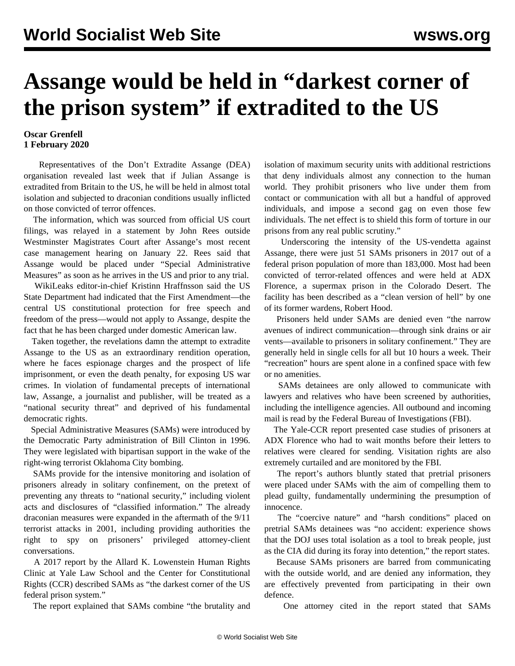## **Assange would be held in "darkest corner of the prison system" if extradited to the US**

## **Oscar Grenfell 1 February 2020**

 Representatives of the Don't Extradite Assange (DEA) organisation revealed last week that if Julian Assange is extradited from Britain to the US, he will be held in almost total isolation and subjected to draconian conditions usually inflicted on those convicted of terror offences.

 The information, which was sourced from official US court filings, was relayed in a statement by John Rees outside Westminster Magistrates Court after Assange's most recent case management hearing on January 22. Rees said that Assange would be placed under "Special Administrative Measures" as soon as he arrives in the US and prior to any trial.

 WikiLeaks editor-in-chief Kristinn Hraffnsson said the US State Department had indicated that the First Amendment—the central US constitutional protection for free speech and freedom of the press—would not apply to Assange, despite the fact that he has been charged under domestic American law.

 Taken together, the revelations damn the attempt to extradite Assange to the US as an extraordinary rendition operation, where he faces espionage charges and the prospect of life imprisonment, or even the death penalty, for exposing US war crimes. In violation of fundamental precepts of international law, Assange, a journalist and publisher, will be treated as a "national security threat" and deprived of his fundamental democratic rights.

 Special Administrative Measures (SAMs) were introduced by the Democratic Party administration of Bill Clinton in 1996. They were legislated with bipartisan support in the wake of the right-wing terrorist Oklahoma City bombing.

 SAMs provide for the intensive monitoring and isolation of prisoners already in solitary confinement, on the pretext of preventing any threats to "national security," including violent acts and disclosures of "classified information." The already draconian measures were expanded in the aftermath of the 9/11 terrorist attacks in 2001, including providing authorities the right to spy on prisoners' privileged attorney-client conversations.

 A 2017 report by the Allard K. Lowenstein Human Rights Clinic at Yale Law School and the Center for Constitutional Rights (CCR) described SAMs as "the darkest corner of the US federal prison system."

The report explained that SAMs combine "the brutality and

isolation of maximum security units with additional restrictions that deny individuals almost any connection to the human world. They prohibit prisoners who live under them from contact or communication with all but a handful of approved individuals, and impose a second gag on even those few individuals. The net effect is to shield this form of torture in our prisons from any real public scrutiny."

 Underscoring the intensity of the US-vendetta against Assange, there were just 51 SAMs prisoners in 2017 out of a federal prison population of more than 183,000. Most had been convicted of terror-related offences and were held at ADX Florence, a supermax prison in the Colorado Desert. The facility has been described as a "clean version of hell" by one of its former wardens, Robert Hood.

 Prisoners held under SAMs are denied even "the narrow avenues of indirect communication—through sink drains or air vents—available to prisoners in solitary confinement." They are generally held in single cells for all but 10 hours a week. Their "recreation" hours are spent alone in a confined space with few or no amenities.

 SAMs detainees are only allowed to communicate with lawyers and relatives who have been screened by authorities, including the intelligence agencies. All outbound and incoming mail is read by the Federal Bureau of Investigations (FBI).

 The Yale-CCR report presented case studies of prisoners at ADX Florence who had to wait months before their letters to relatives were cleared for sending. Visitation rights are also extremely curtailed and are monitored by the FBI.

 The report's authors bluntly stated that pretrial prisoners were placed under SAMs with the aim of compelling them to plead guilty, fundamentally undermining the presumption of innocence.

 The "coercive nature" and "harsh conditions" placed on pretrial SAMs detainees was "no accident: experience shows that the DOJ uses total isolation as a tool to break people, just as the CIA did during its foray into detention," the report states.

 Because SAMs prisoners are barred from communicating with the outside world, and are denied any information, they are effectively prevented from participating in their own defence.

One attorney cited in the report stated that SAMs